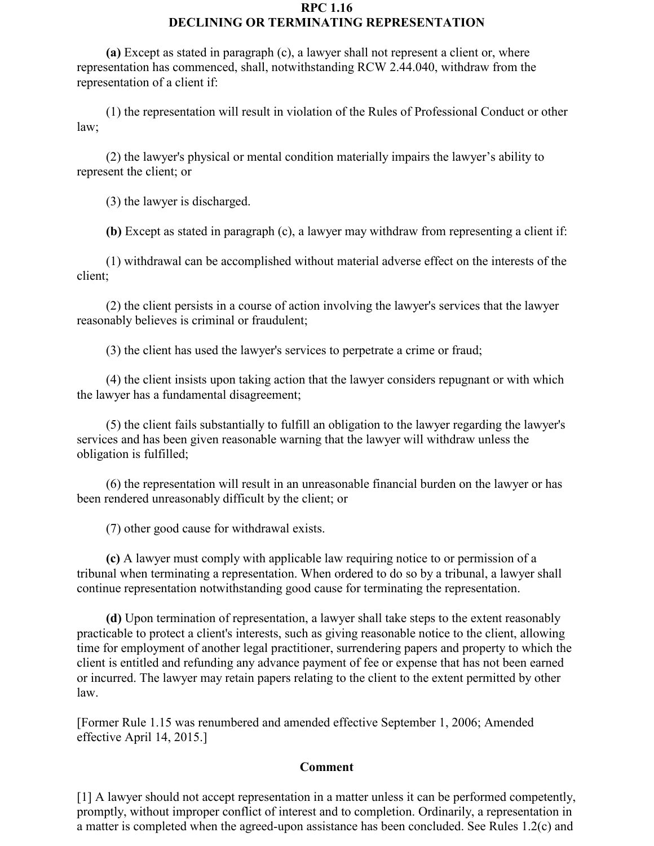#### **RPC 1.16 DECLINING OR TERMINATING REPRESENTATION**

**(a)** Except as stated in paragraph (c), a lawyer shall not represent a client or, where representation has commenced, shall, notwithstanding RCW 2.44.040, withdraw from the representation of a client if:

(1) the representation will result in violation of the Rules of Professional Conduct or other law;

(2) the lawyer's physical or mental condition materially impairs the lawyer's ability to represent the client; or

(3) the lawyer is discharged.

**(b)** Except as stated in paragraph (c), a lawyer may withdraw from representing a client if:

(1) withdrawal can be accomplished without material adverse effect on the interests of the client;

(2) the client persists in a course of action involving the lawyer's services that the lawyer reasonably believes is criminal or fraudulent;

(3) the client has used the lawyer's services to perpetrate a crime or fraud;

(4) the client insists upon taking action that the lawyer considers repugnant or with which the lawyer has a fundamental disagreement;

(5) the client fails substantially to fulfill an obligation to the lawyer regarding the lawyer's services and has been given reasonable warning that the lawyer will withdraw unless the obligation is fulfilled;

(6) the representation will result in an unreasonable financial burden on the lawyer or has been rendered unreasonably difficult by the client; or

(7) other good cause for withdrawal exists.

**(c)** A lawyer must comply with applicable law requiring notice to or permission of a tribunal when terminating a representation. When ordered to do so by a tribunal, a lawyer shall continue representation notwithstanding good cause for terminating the representation.

**(d)** Upon termination of representation, a lawyer shall take steps to the extent reasonably practicable to protect a client's interests, such as giving reasonable notice to the client, allowing time for employment of another legal practitioner, surrendering papers and property to which the client is entitled and refunding any advance payment of fee or expense that has not been earned or incurred. The lawyer may retain papers relating to the client to the extent permitted by other law.

[Former Rule 1.15 was renumbered and amended effective September 1, 2006; Amended effective April 14, 2015.]

#### **Comment**

[1] A lawyer should not accept representation in a matter unless it can be performed competently, promptly, without improper conflict of interest and to completion. Ordinarily, a representation in a matter is completed when the agreed-upon assistance has been concluded. See Rules 1.2(c) and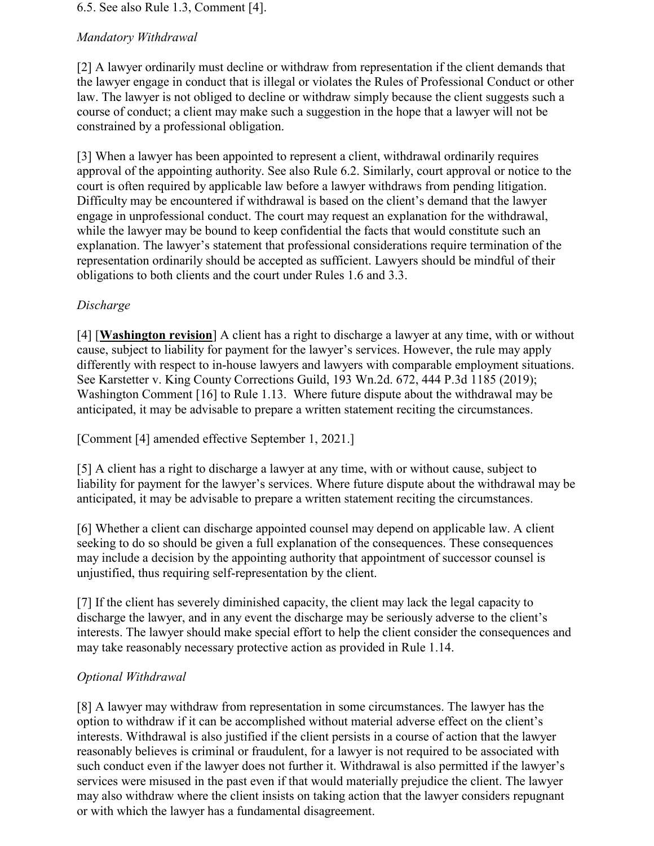6.5. See also Rule 1.3, Comment [4].

# *Mandatory Withdrawal*

[2] A lawyer ordinarily must decline or withdraw from representation if the client demands that the lawyer engage in conduct that is illegal or violates the Rules of Professional Conduct or other law. The lawyer is not obliged to decline or withdraw simply because the client suggests such a course of conduct; a client may make such a suggestion in the hope that a lawyer will not be constrained by a professional obligation.

[3] When a lawyer has been appointed to represent a client, withdrawal ordinarily requires approval of the appointing authority. See also Rule 6.2. Similarly, court approval or notice to the court is often required by applicable law before a lawyer withdraws from pending litigation. Difficulty may be encountered if withdrawal is based on the client's demand that the lawyer engage in unprofessional conduct. The court may request an explanation for the withdrawal, while the lawyer may be bound to keep confidential the facts that would constitute such an explanation. The lawyer's statement that professional considerations require termination of the representation ordinarily should be accepted as sufficient. Lawyers should be mindful of their obligations to both clients and the court under Rules 1.6 and 3.3.

### *Discharge*

[4] [**Washington revision**] A client has a right to discharge a lawyer at any time, with or without cause, subject to liability for payment for the lawyer's services. However, the rule may apply differently with respect to in-house lawyers and lawyers with comparable employment situations. See Karstetter v. King County Corrections Guild, 193 Wn.2d. 672, 444 P.3d 1185 (2019); Washington Comment [16] to Rule 1.13. Where future dispute about the withdrawal may be anticipated, it may be advisable to prepare a written statement reciting the circumstances.

### [Comment [4] amended effective September 1, 2021.]

[5] A client has a right to discharge a lawyer at any time, with or without cause, subject to liability for payment for the lawyer's services. Where future dispute about the withdrawal may be anticipated, it may be advisable to prepare a written statement reciting the circumstances.

[6] Whether a client can discharge appointed counsel may depend on applicable law. A client seeking to do so should be given a full explanation of the consequences. These consequences may include a decision by the appointing authority that appointment of successor counsel is unjustified, thus requiring self-representation by the client.

[7] If the client has severely diminished capacity, the client may lack the legal capacity to discharge the lawyer, and in any event the discharge may be seriously adverse to the client's interests. The lawyer should make special effort to help the client consider the consequences and may take reasonably necessary protective action as provided in Rule 1.14.

# *Optional Withdrawal*

[8] A lawyer may withdraw from representation in some circumstances. The lawyer has the option to withdraw if it can be accomplished without material adverse effect on the client's interests. Withdrawal is also justified if the client persists in a course of action that the lawyer reasonably believes is criminal or fraudulent, for a lawyer is not required to be associated with such conduct even if the lawyer does not further it. Withdrawal is also permitted if the lawyer's services were misused in the past even if that would materially prejudice the client. The lawyer may also withdraw where the client insists on taking action that the lawyer considers repugnant or with which the lawyer has a fundamental disagreement.